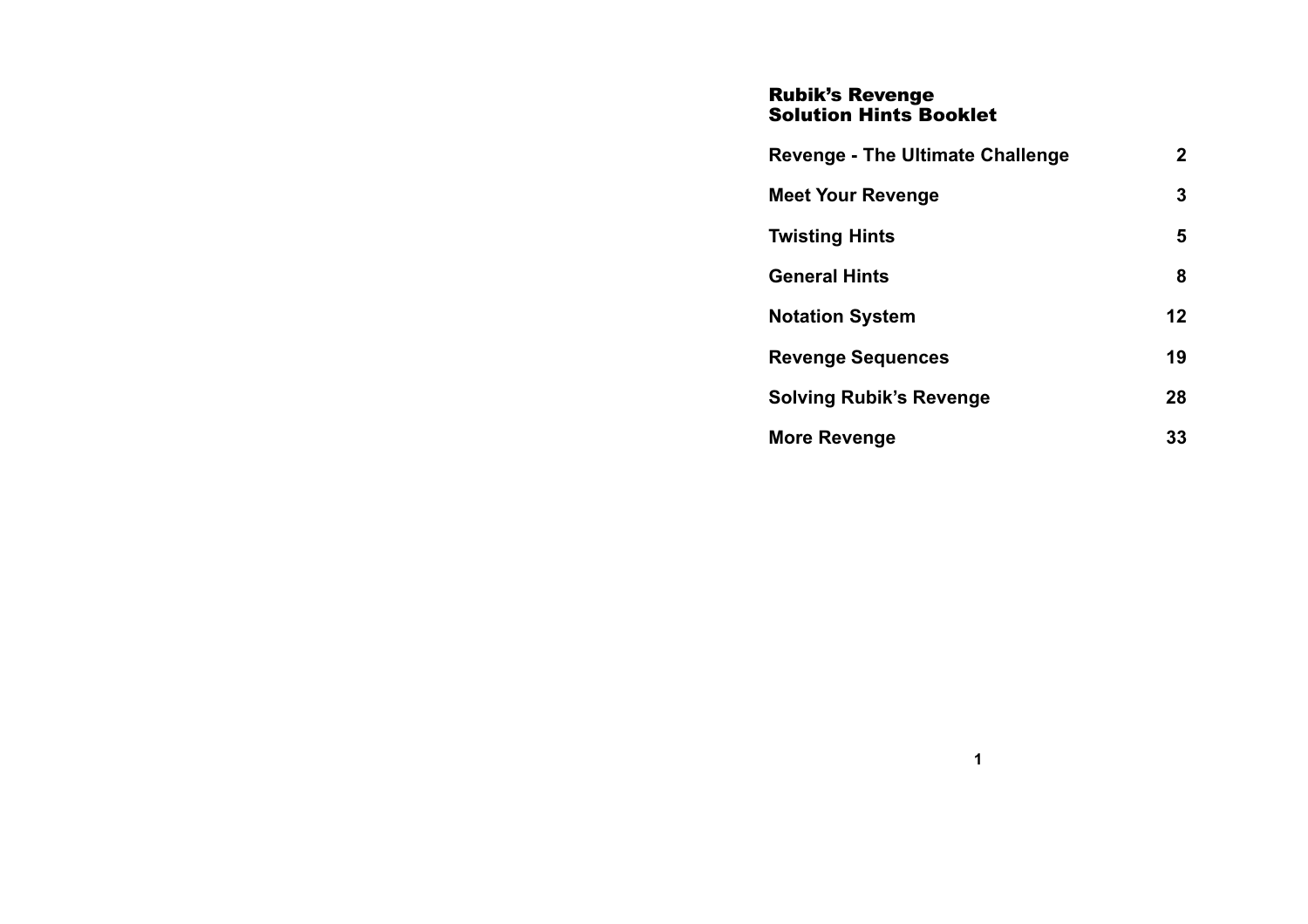### Rubik's Revenge Solution Hints Booklet

| <b>Revenge - The Ultimate Challenge</b> | $\mathbf{2}$ |
|-----------------------------------------|--------------|
| <b>Meet Your Revenge</b>                | 3            |
| <b>Twisting Hints</b>                   | 5            |
| <b>General Hints</b>                    | 8            |
| <b>Notation System</b>                  | 12           |
| <b>Revenge Sequences</b>                | 19           |
| <b>Solving Rubik's Revenge</b>          | 28           |
| More Revenge                            | 33           |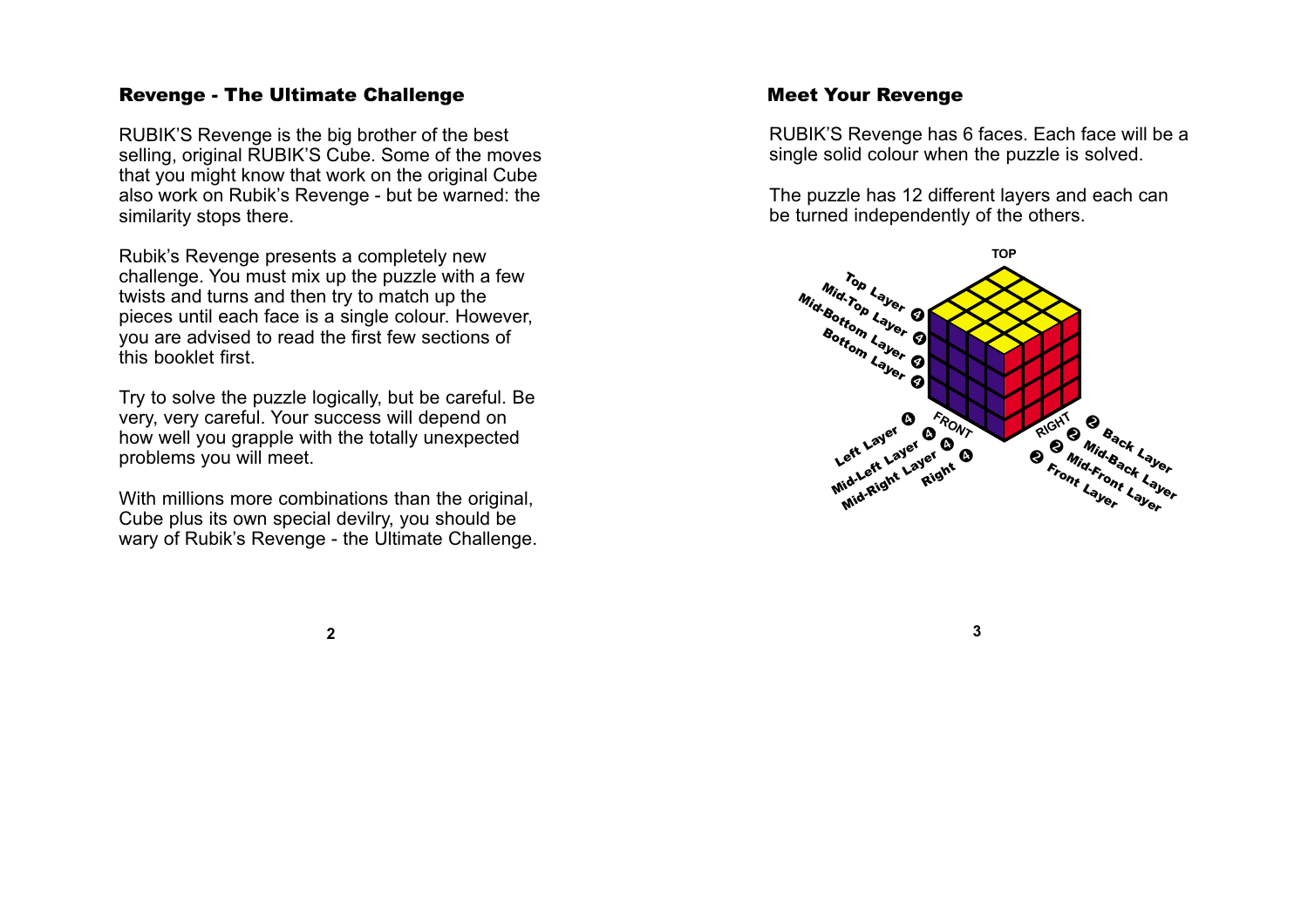## <span id="page-1-0"></span>Revenge - The Ultimate Challenge

RUBIK'S Revenge is the big brother of the best selling, original RUBIK'S Cube. Some of the moves that you might know that work on the original Cube also work on Rubik's Revenge - but be warned: the similarity stops there.

Rubik's Revenge presents a completely new challenge. You must mix up the puzzle with a few twists and turns and then try to match up the pieces until each face is a single colour. However, you are advised to read the first few sections of this booklet first.

Try to solve the puzzle logically, but be careful. Be very, very careful. Your success will depend on how well you grapple with the totally unexpected problems you will meet.

With millions more combinations than the original, Cube plus its own special devilry, you should be wary of Rubik's Revenge - the Ultimate Challenge.

## Meet Your Revenge

RUBIK'S Revenge has 6 faces. Each face will be a single solid colour when the puzzle is solved.

The puzzle has 12 different layers and each can be turned independently of the others.



**3**

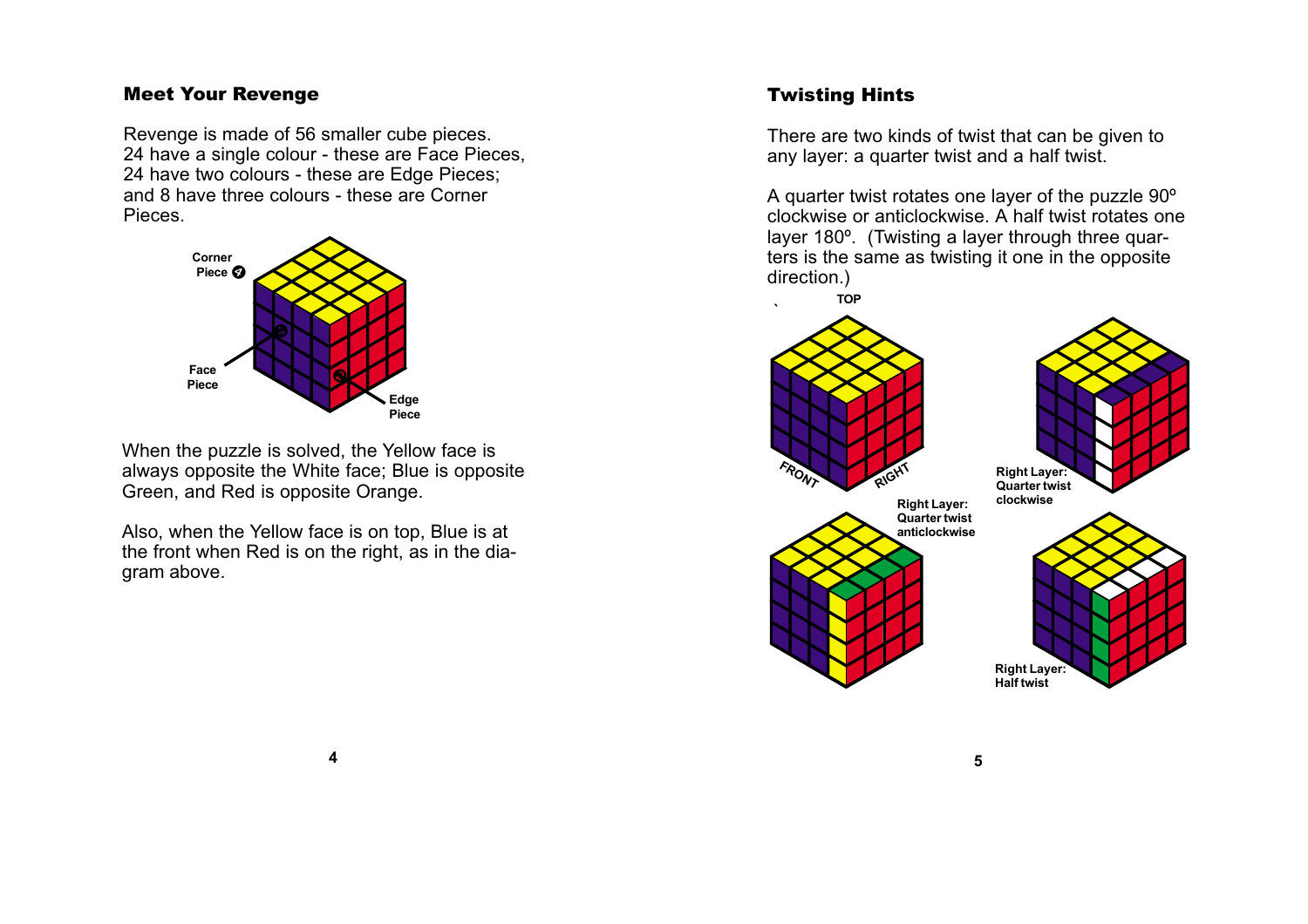# <span id="page-2-0"></span>Meet Your Revenge

Revenge is made of 56 smaller cube pieces. 24 have a single colour - these are Face Pieces, 24 have two colours - these are Edge Pieces; and 8 have three colours - these are Corner **Pieces** 



When the puzzle is solved, the Yellow face is always opposite the White face; Blue is opposite Green, and Red is opposite Orange.

Also, when the Yellow face is on top, Blue is at the front when Red is on the right, as in the diagram above.

# Twisting Hints

There are two kinds of twist that can be given to any layer: a quarter twist and a half twist.

A quarter twist rotates one layer of the puzzle 90º clockwise or anticlockwise. A half twist rotates one layer 180º. (Twisting a layer through three quarters is the same as twisting it one in the opposite direction.)

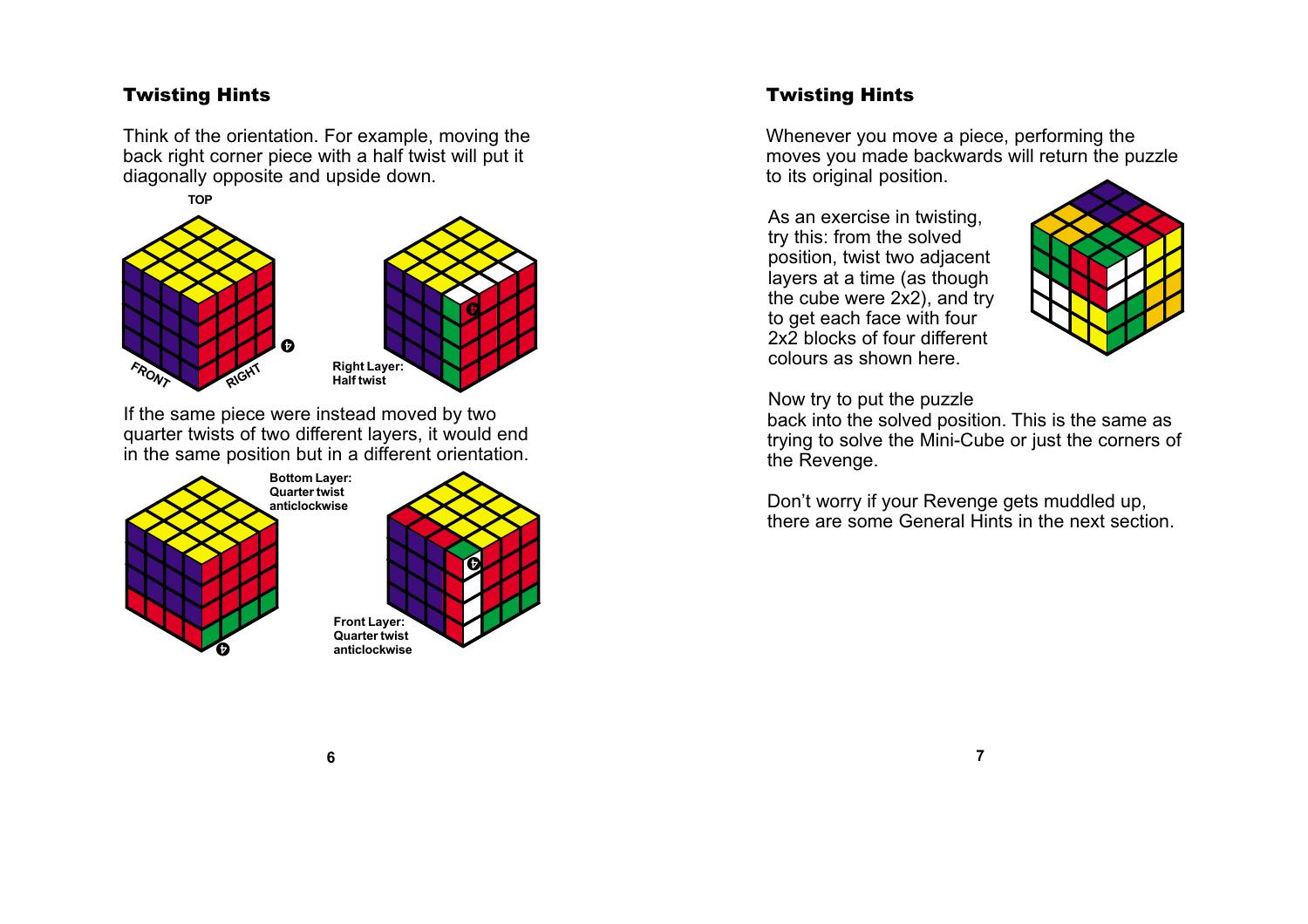# Twisting Hints

Think of the orientation. For example, moving the back right corner piece with a half twist will put it diagonally opposite and upside down.



If the same piece were instead moved by two quarter twists of two different layers, it would end in the same position but in a different orientation.



# Twisting Hints

Whenever you move a piece, performing the moves you made backwards will return the puzzle to its original position.

As an exercise in twisting, try this: from the solved position, twist two adjacent layers at a time (as though the cube were 2x2), and try to get each face with four 2x2 blocks of four different colours as shown here.



Now try to put the puzzle

back into the solved position. This is the same as trying to solve the Mini-Cube or just the corners of the Revenge.

Don't worry if your Revenge gets muddled up, there are some General Hints in the next section.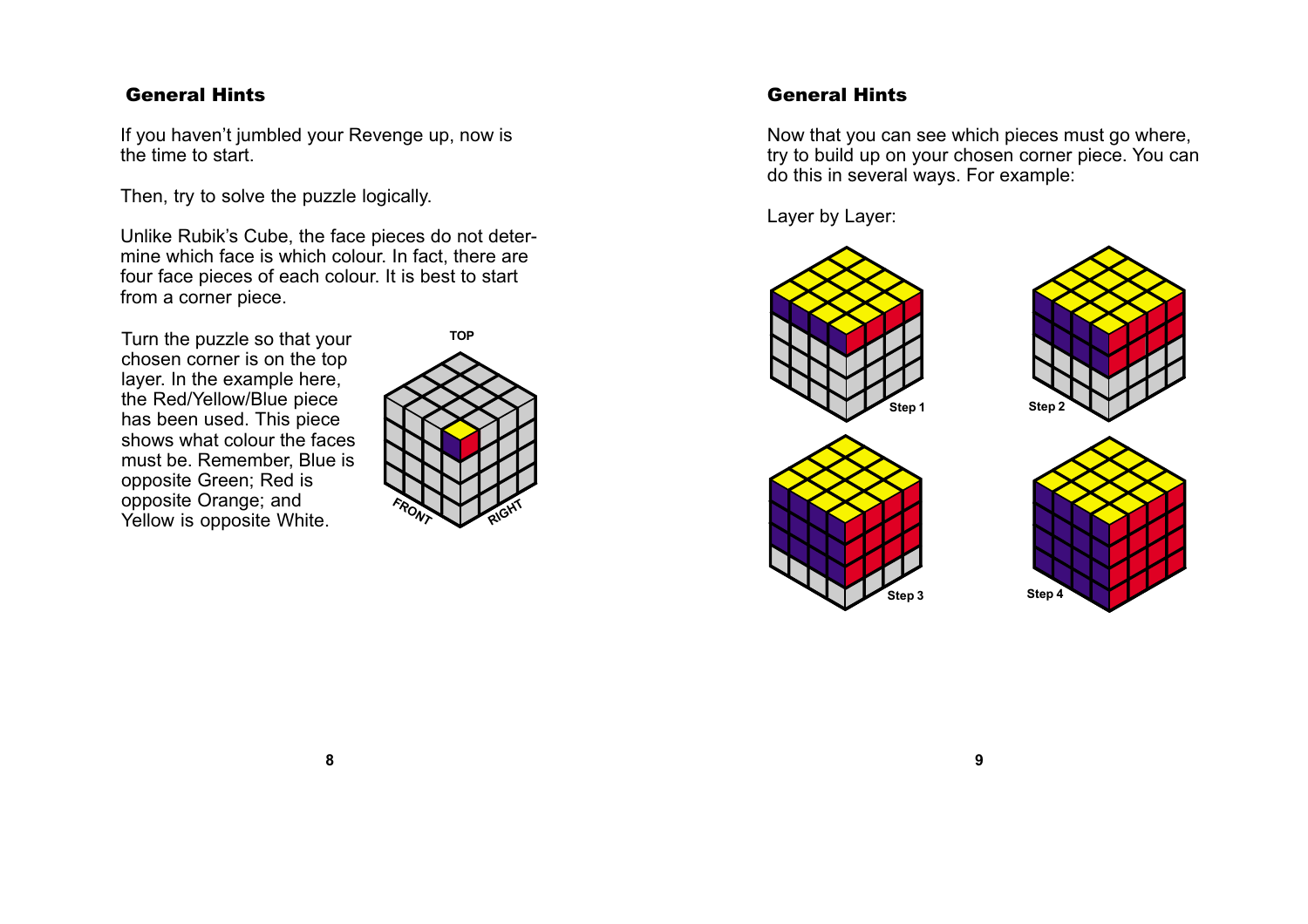# <span id="page-4-0"></span>General Hints

If you haven't jumbled your Revenge up, now is the time to start.

Then, try to solve the puzzle logically.

Unlike Rubik's Cube, the face pieces do not determine which face is which colour. In fact, there are four face pieces of each colour. It is best to start from a corner piece.

Turn the puzzle so that your chosen corner is on the top layer. In the example here, the Red/Yellow/Blue piece has been used. This piece shows what colour the faces must be. Remember, Blue is opposite Green; Red is opposite Orange; and Yellow is opposite White.



# General Hints

Now that you can see which pieces must go where, try to build up on your chosen corner piece. You can do this in several ways. For example:

Layer by Layer:







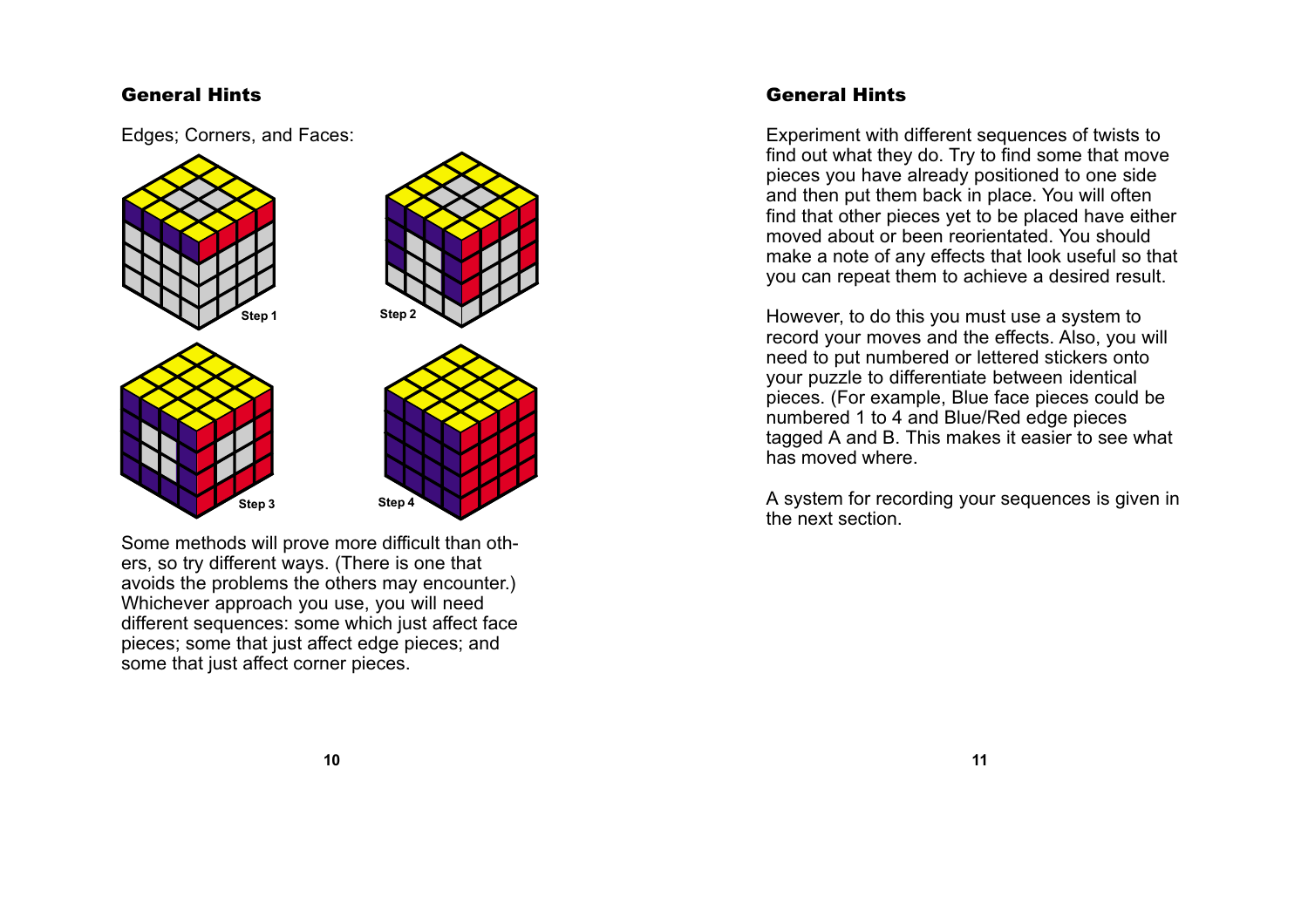## General Hints

Edges; Corners, and Faces:



Some methods will prove more difficult than others, so try different ways. (There is one that avoids the problems the others may encounter.) Whichever approach you use, you will need different sequences: some which just affect face pieces; some that just affect edge pieces; and some that just affect corner pieces.

# General Hints

Experiment with different sequences of twists to find out what they do. Try to find some that move pieces you have already positioned to one side and then put them back in place. You will often find that other pieces yet to be placed have either moved about or been reorientated. You should make a note of any effects that look useful so that you can repeat them to achieve a desired result.

However, to do this you must use a system to record your moves and the effects. Also, you will need to put numbered or lettered stickers onto your puzzle to differentiate between identical pieces. (For example, Blue face pieces could be numbered 1 to 4 and Blue/Red edge pieces tagged A and B. This makes it easier to see what has moved where.

A system for recording your sequences is given in the next section.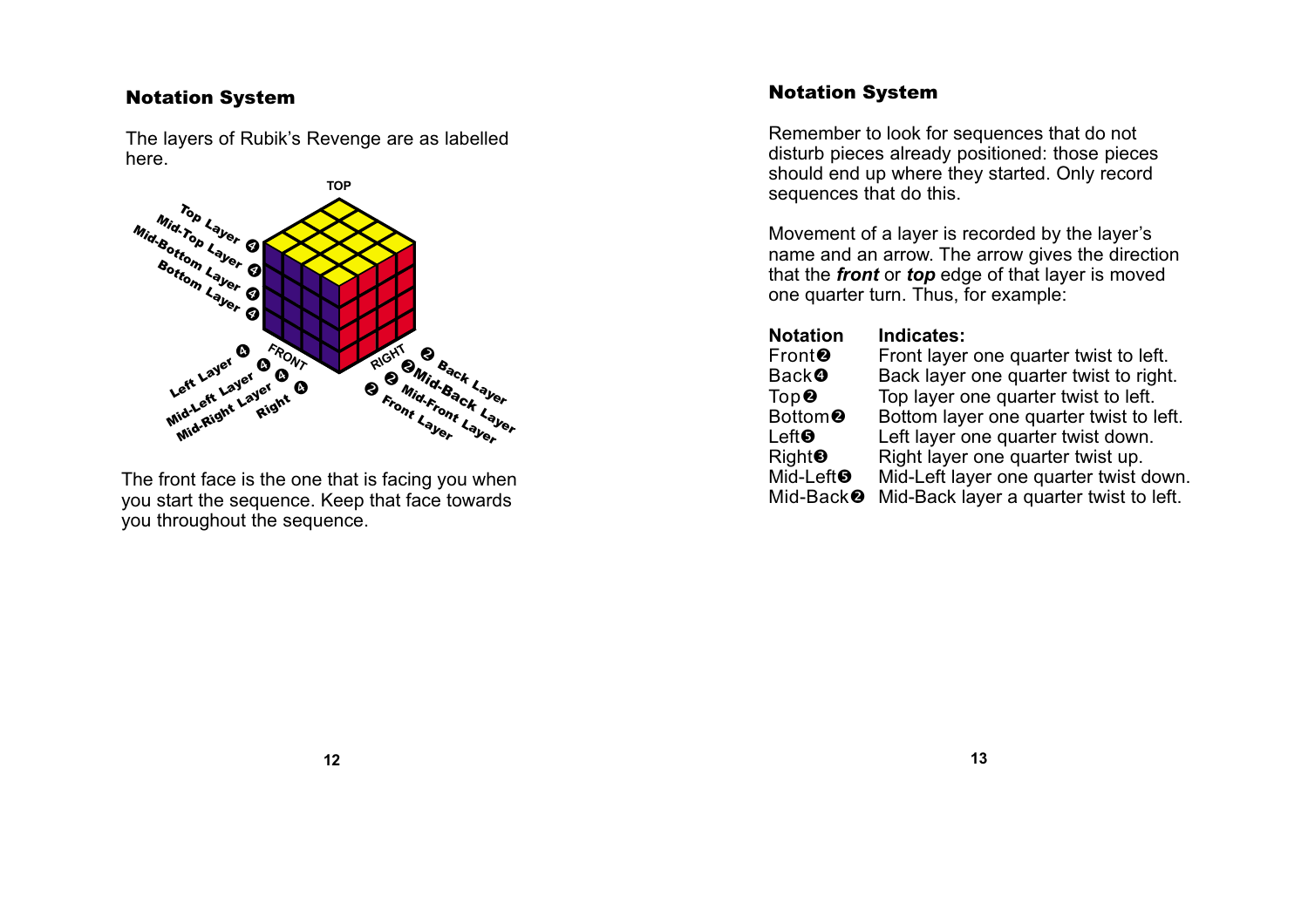<span id="page-6-0"></span>The layers of Rubik's Revenge are as labelled here.



The front face is the one that is facing you when you start the sequence. Keep that face towards you throughout the sequence.

# Notation System

Remember to look for sequences that do not disturb pieces already positioned: those pieces should end up where they started. Only record sequences that do this.

Movement of a layer is recorded by the layer's name and an arrow. The arrow gives the direction that the **front** or **top** edge of that layer is moved one quarter turn. Thus, for example:

| <b>Notation</b>                  | Indicates:                              |
|----------------------------------|-----------------------------------------|
| Front <sup>®</sup>               | Front layer one quarter twist to left.  |
| <b>Back<sup>o</sup></b>          | Back layer one quarter twist to right.  |
| $\mathsf{Top}\, \mathbf{\Theta}$ | Top layer one quarter twist to left.    |
| Bottom <sup>®</sup>              | Bottom layer one quarter twist to left. |
| Left                             | Left layer one quarter twist down.      |
| Right <sup>⑤</sup>               | Right layer one quarter twist up.       |
| Mid-Left <sup>O</sup>            | Mid-Left layer one quarter twist down.  |
| Mid-Back <sup>®</sup>            | Mid-Back layer a quarter twist to left. |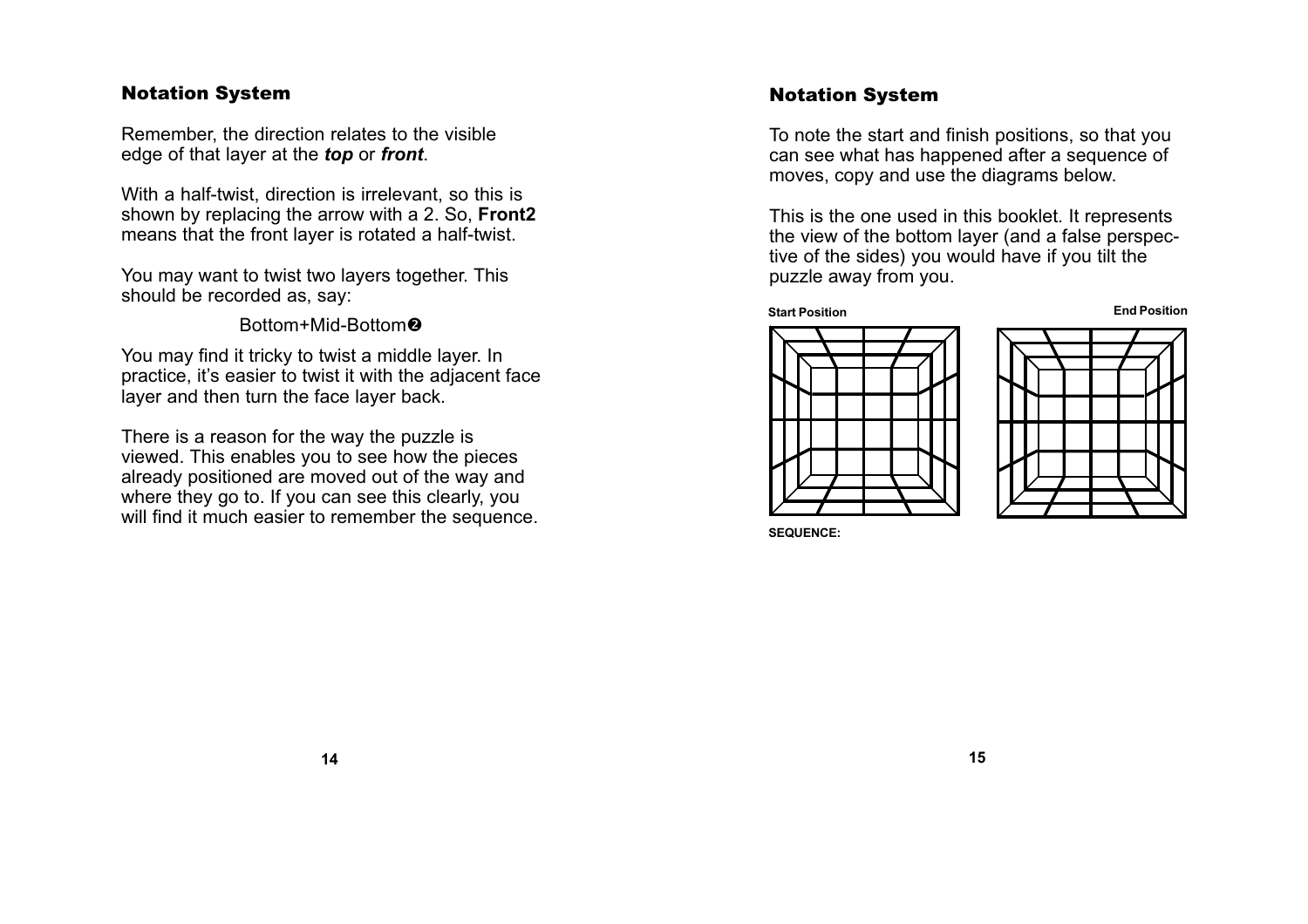Remember, the direction relates to the visible edge of that layer at the **top** or **front**.

With a half-twist, direction is irrelevant, so this is shown by replacing the arrow with a 2. So, **Front2** means that the front layer is rotated a half-twist.

You may want to twist two layers together. This should be recorded as, say:

Bottom+Mid-Bottom

You may find it tricky to twist a middle layer. In practice, it's easier to twist it with the adjacent face layer and then turn the face layer back.

There is a reason for the way the puzzle is viewed. This enables you to see how the pieces already positioned are moved out of the way and where they go to. If you can see this clearly, you will find it much easier to remember the sequence.

## Notation System

To note the start and finish positions, so that you can see what has happened after a sequence of moves, copy and use the diagrams below.

This is the one used in this booklet. It represents the view of the bottom layer (and a false perspective of the sides) you would have if you tilt the puzzle away from you.

#### **Start Position End Position**





**SEQUENCE:**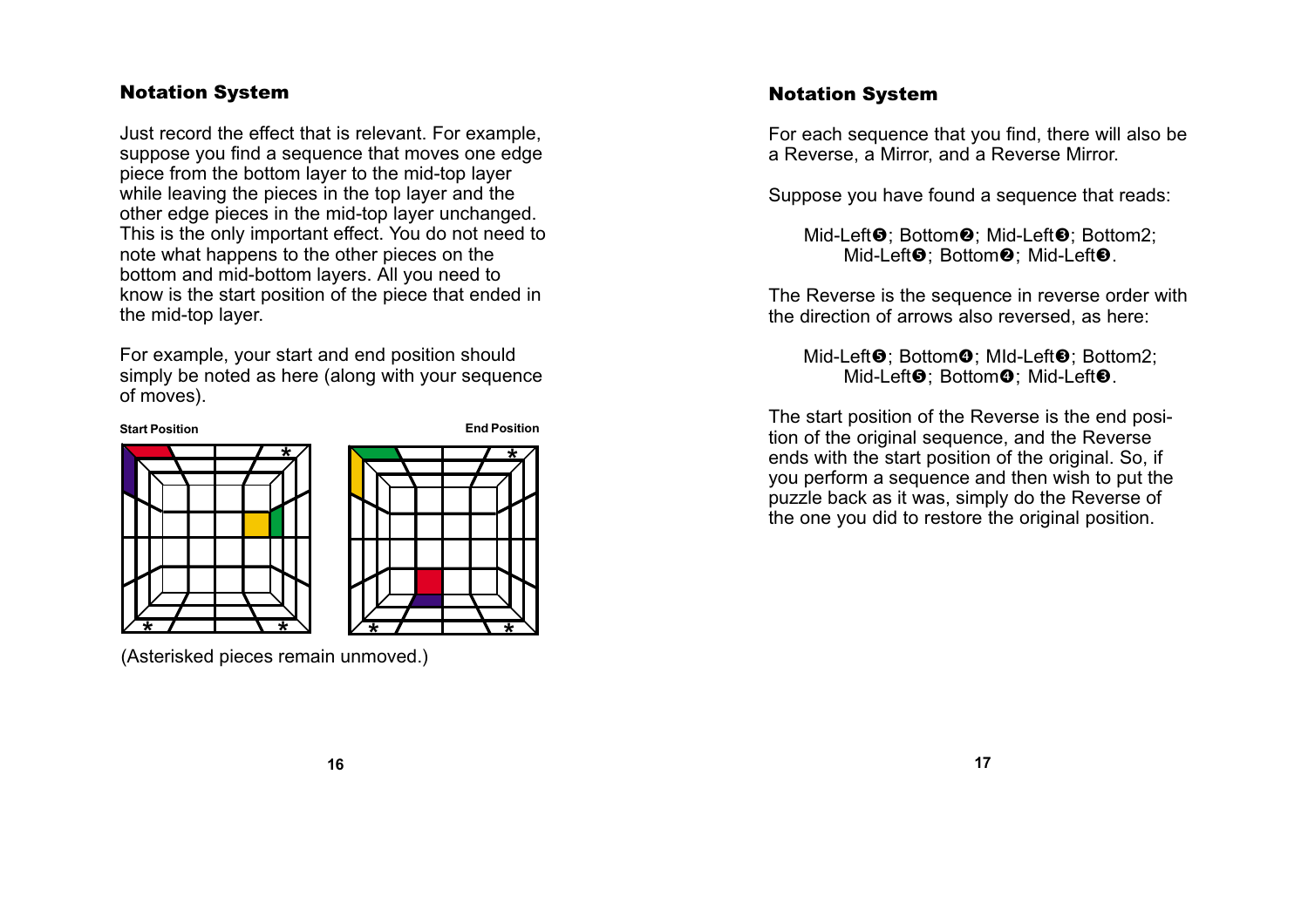Just record the effect that is relevant. For example, suppose you find a sequence that moves one edge piece from the bottom layer to the mid-top layer while leaving the pieces in the top layer and the other edge pieces in the mid-top layer unchanged. This is the only important effect. You do not need to note what happens to the other pieces on the bottom and mid-bottom layers. All you need to know is the start position of the piece that ended in the mid-top layer.

For example, your start and end position should simply be noted as here (along with your sequence of moves).

**Start Position End Position**





(Asterisked pieces remain unmoved.)

# Notation System

For each sequence that you find, there will also be a Reverse, a Mirror, and a Reverse Mirror.

Suppose you have found a sequence that reads:

Mid-Left❺; Bottom❷; Mid-Left❸; Bottom2; Mid-Left❺; Bottom❷; Mid-Left❺.

The Reverse is the sequence in reverse order with the direction of arrows also reversed, as here:

Mid-Left❸; Bottom❹; MId-Left❸; Bottom2; Mid-Left❺; Bottom❹; Mid-Left❺.

The start position of the Reverse is the end position of the original sequence, and the Reverse ends with the start position of the original. So, if you perform a sequence and then wish to put the puzzle back as it was, simply do the Reverse of the one you did to restore the original position.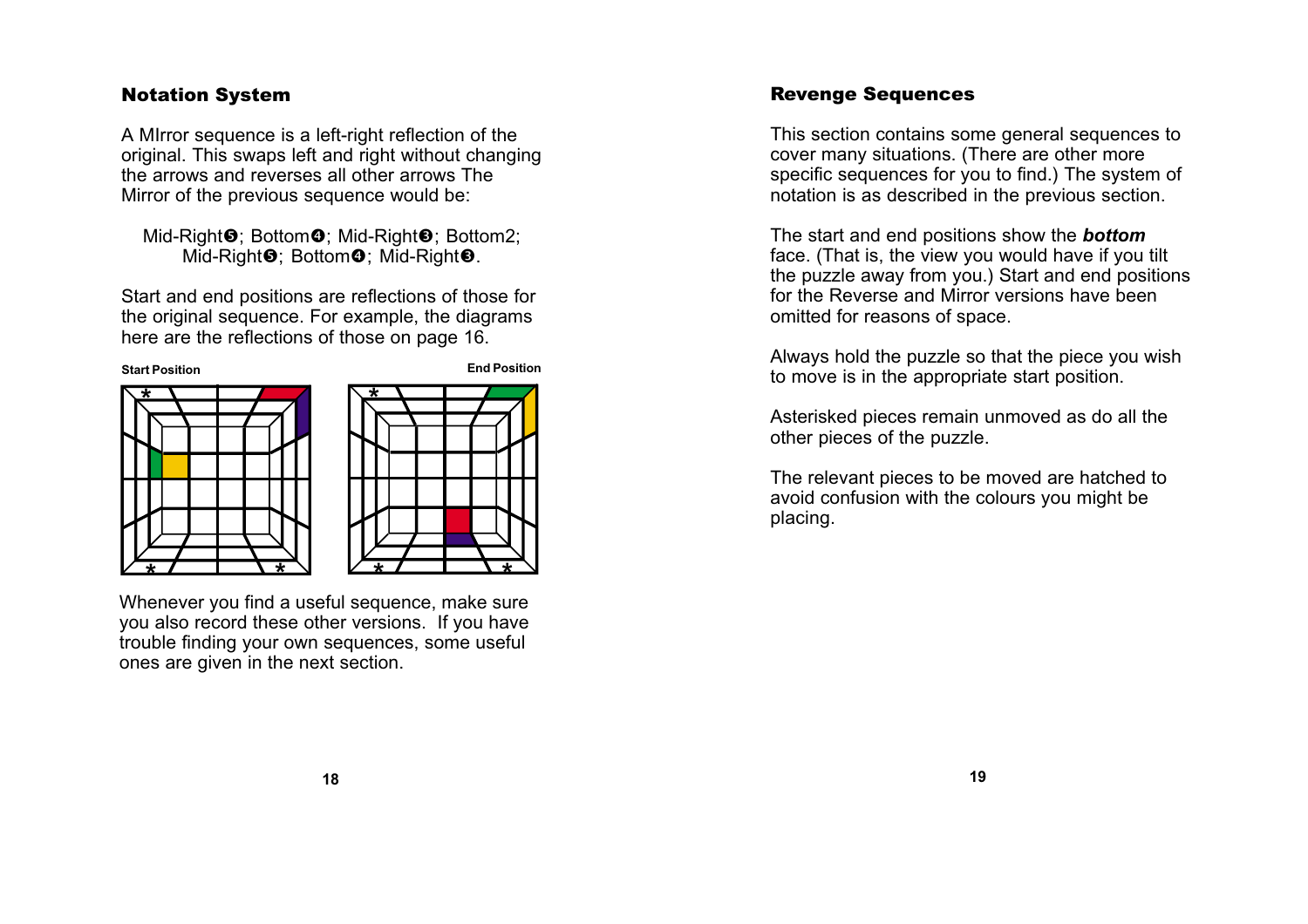<span id="page-9-0"></span>A MIrror sequence is a left-right reflection of the original. This swaps left and right without changing the arrows and reverses all other arrows The Mirror of the previous sequence would be:

## Mid-Right❺; Bottom❹; Mid-Right❸; Bottom2; Mid-Right $\boldsymbol{\Theta};$  Bottom $\boldsymbol{\Theta};$  Mid-Right $\boldsymbol{\Theta}.$

Start and end positions are reflections of those for the original sequence. For example, the diagrams here are the reflections of those on page 16.





Whenever you find a useful sequence, make sure you also record these other versions. If you have trouble finding your own sequences, some useful ones are given in the next section.

# Revenge Sequences

This section contains some general sequences to cover many situations. (There are other more specific sequences for you to find.) The system of notation is as described in the previous section.

The start and end positions show the **bottom** face. (That is, the view you would have if you tilt the puzzle away from you.) Start and end positions for the Reverse and Mirror versions have been omitted for reasons of space.

Always hold the puzzle so that the piece you wish to move is in the appropriate start position.

Asterisked pieces remain unmoved as do all the other pieces of the puzzle.

The relevant pieces to be moved are hatched to avoid confusion with the colours you might be placing.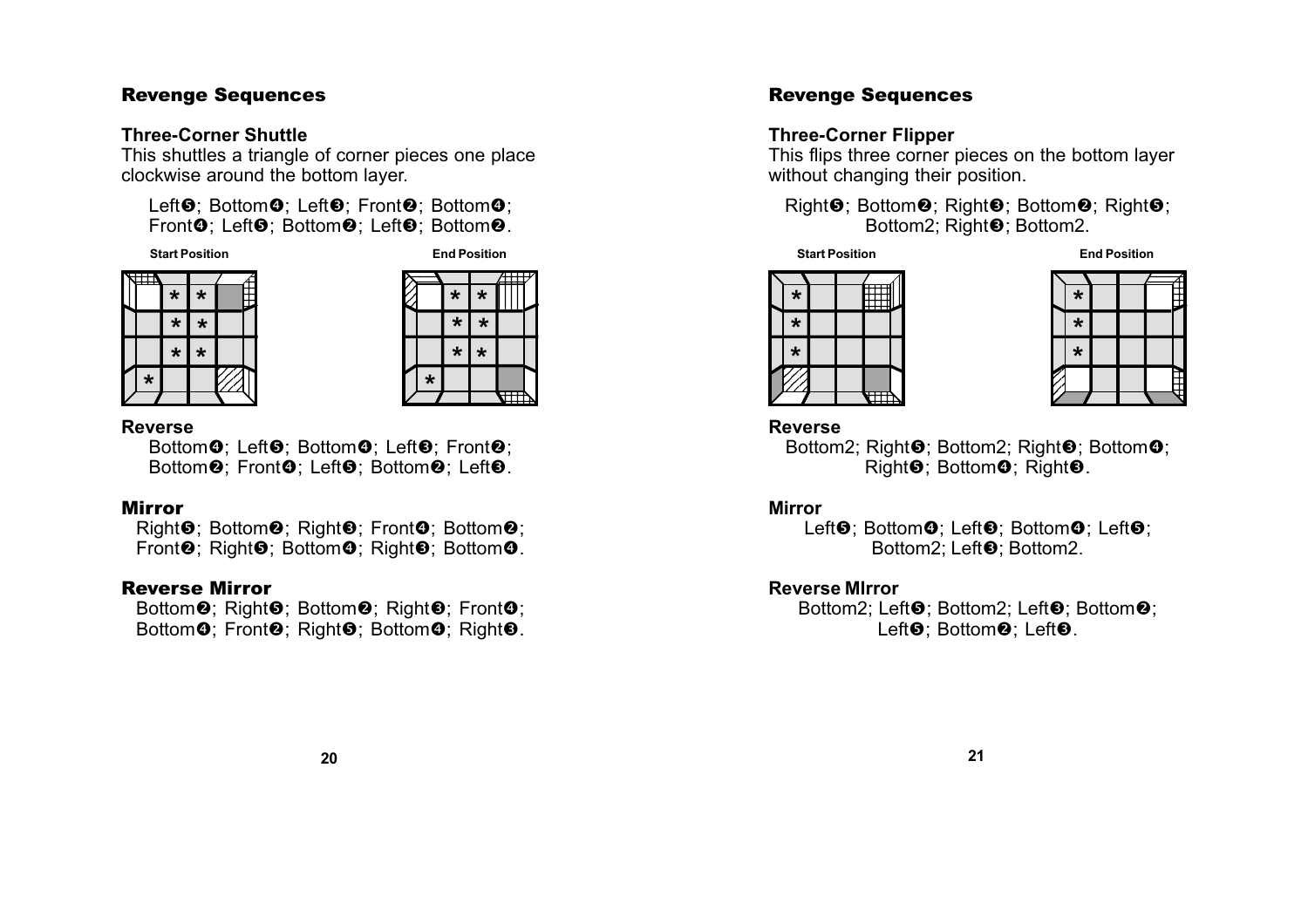## **Three-Corner Shuttle**

This shuttles a triangle of corner pieces one place clockwise around the bottom layer.

Left❸; Bottom❹; Left❸; Front❷; Bottom❹; Front $\boldsymbol{\Theta};$  Left $\boldsymbol{\Theta};$  Bottom $\boldsymbol{\Theta}.$  Left $\boldsymbol{\Theta};$  Bottom $\boldsymbol{\Theta}.$ 

**Start Position End Position**







#### **Reverse**

Bottom**の**; Left❺; Bottom❻; Left❸; Front❷; Bottom❷; Front❹; Left❺; Bottom❷; Left❸.

# Mirror

Right❺; Bottom❷; Right❸; Front❹; Bottom❷; Front❷; Right❸; Bottom❹; Right❸; Bottom❹.

## Reverse Mirror

Bottom❷; Right❸; Bottom❷; Right❸; Front❹; Bottom❹; Front❷; Right❺; Bottom❹; Right❸.

## **Three-Corner Flipper**

This flips three corner pieces on the bottom layer without changing their position.

**Revenge Sequences**<br>
Three-Corner Flipper<br>
This flips three corner pieces on the bottom layer<br>
without changing their position.<br>
Right<sup>®</sup>; Bottom<sup>®</sup>; Right®; Bottom<sup>®</sup>; Right®;<br>
Bottom2; Right®; Bottom2.<br>
start Position E Right<sup>o</sup>: Bottom<sup>o</sup>: Right<sup>o</sup>: Bottom<sup>o</sup>: Right<sup>o</sup>: Bottom2; Right<sup>®</sup>; Bottom2.

**Start Position End Position**





**Reverse**

Bottom2; Right❺; Bottom2; Right❸; Bottom❹; Right $\bm{\Theta}$ ; Bottom $\bm{\Theta}$ ; Right $\bm{\Theta}$ .

#### **Mirror**

Left**G**; Bottom**O**; Left**G**; Bottom**O**; Left**G**; Bottom2: Left<sup>®</sup>: Bottom2.

## **Reverse MIrror**

Bottom2; Left<sup>®</sup>; Bottom2; Left<sup>®</sup>; Bottom<sup>®</sup>; Left<sup>®</sup>; Bottom<sup>®</sup>; Left<sup>®</sup>.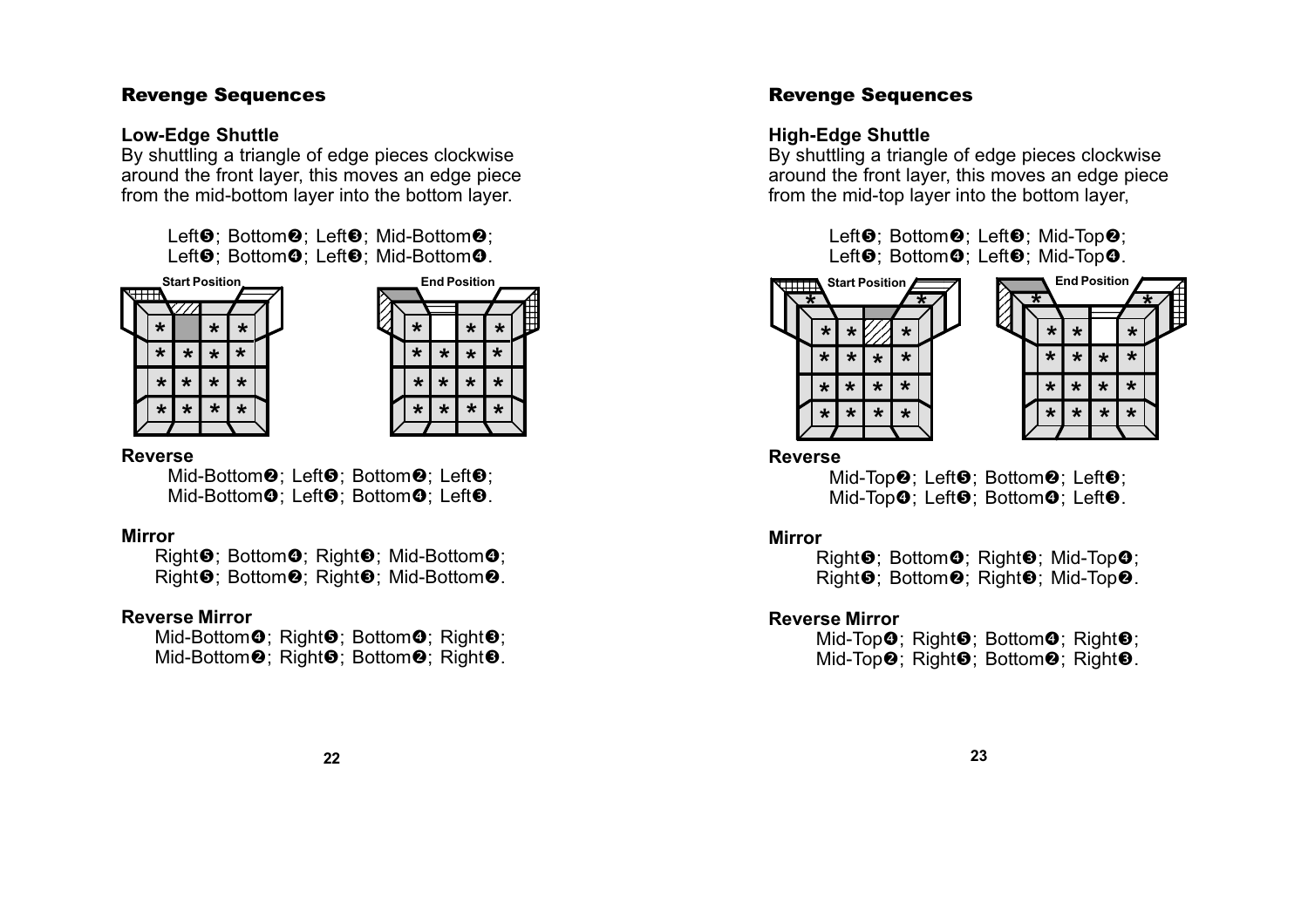## **Low-Edge Shuttle**

By shuttling a triangle of edge pieces clockwise around the front layer, this moves an edge piece from the mid-bottom layer into the bottom layer.

> Left<sup>®</sup>; Bottom<sup>®</sup>; Left<sup>®</sup>; Mid-Bottom<sup>®</sup>; Left**o**; Bottom**o**; Left**o**; Mid-Bottom**o**.





### **Reverse**

Mid-Bottom<sup>®</sup>; Left<sup>®</sup>; Bottom<sup>®</sup>; Left<sup>®</sup>; Mid-Bottom**☉**; Left❺; Bottom**☉**; Left❸.

## **Mirror**

Right❺; Bottom❹; Right❸; Mid-Bottom❹; Right<sup>®</sup>; Bottom<sup>®</sup>; Right<sup>®</sup>; Mid-Bottom<sup>®</sup>.

## **Reverse Mirror**

Mid-Bottom**の**; Right❺; Bottom❹; Right❸; Mid-Bottom<sup> $\odot$ </sup>; Right $\odot$ ; Bottom $\odot$ ; Right $\odot$ .

## Revenge Sequences

# **High-Edge Shuttle**

By shuttling a triangle of edge pieces clockwise around the front layer, this moves an edge piece from the mid-top layer into the bottom layer,

> Left<sup>®</sup>; Bottom<sup>®</sup>; Left<sup>®</sup>; Mid-Top<sup>®</sup>; Left❺; Bottom❹; Left❺; Mid-Top❹.





# **Reverse**

Mid-Top<sup>2</sup>; Left<sup>3</sup>; Bottom<sup>2</sup>; Left<sup>3</sup>; Mid-Top**の**; Left❺; Bottom❹; Left❸.

## **Mirror**

Right❺; Bottom❹; Right❸; Mid-Top❹; Right<sup> $\odot$ </sup>; Bottom<sup>2</sup>; Right<sup>2</sup>; Mid-Top<sup>2</sup>.

## **Reverse Mirror**

Mid-Top❹; Right❺; Bottom❹; Right❸; Mid-Top<sup>2</sup>; Right<sup>9</sup>; Bottom<sup>2</sup>; Right<sup>9</sup>.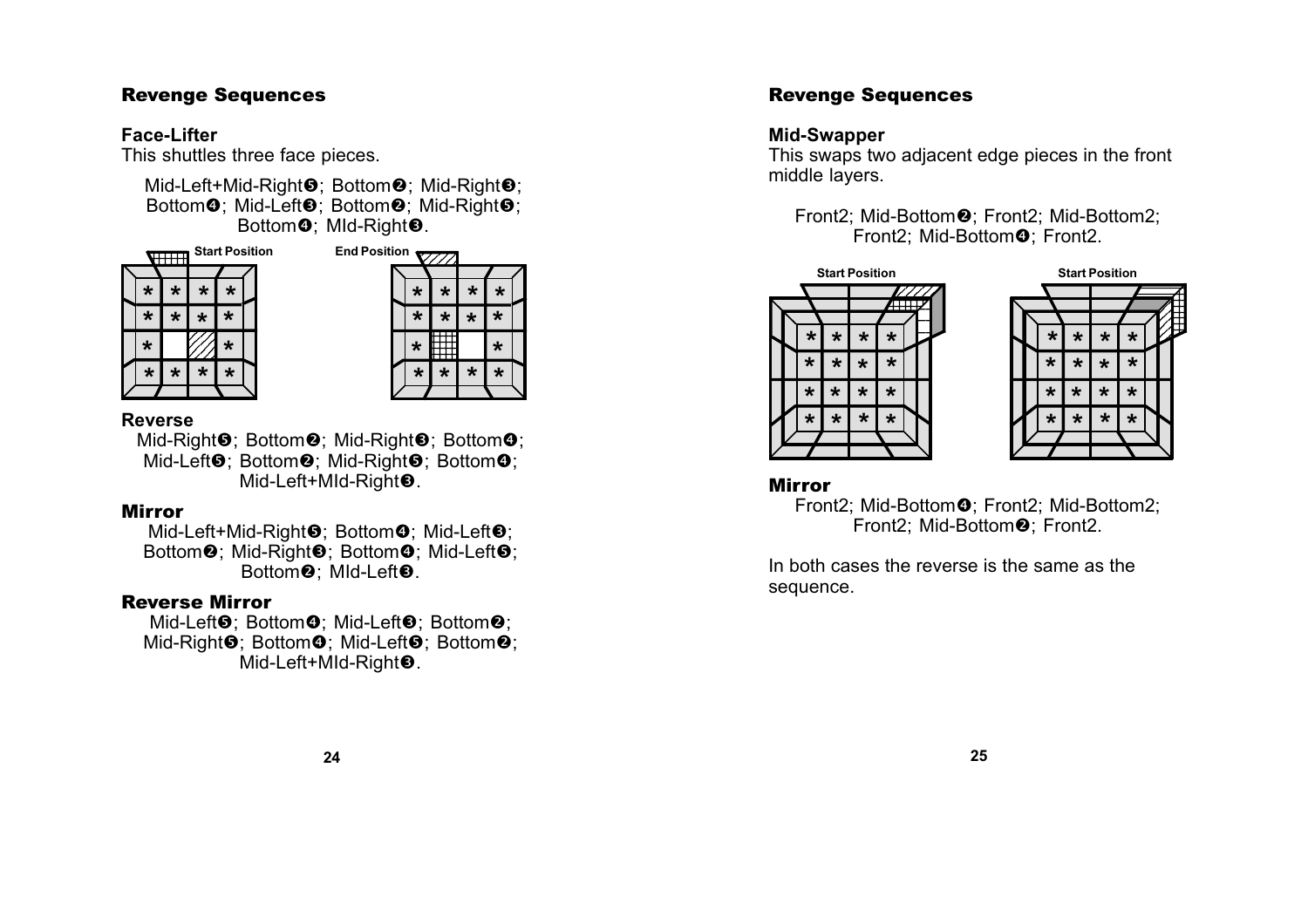## **Face-Lifter**

This shuttles three face pieces.

Mid-Left+Mid-Right❺; Bottom❷; Mid-Right❸; Bottom❶; Mid-Left❸; Bottom❷; Mid-Right❺; Bottom**❹**; MId-Right❸.





## **Reverse**

Mid-Right❺; Bottom❷; Mid-Right❸; Bottom❹; Mid-Left❶; Bottom❷; Mid-Right❺; Bottom❹; Mid-Left+MId-Right❸.

## Mirror

Mid-Left+Mid-Right❺; Bottom❹; Mid-Left❸; Bottom❷; Mid-Right❸; Bottom❹; Mid-Left❺; Bottom❷; Mld-Left❸.

## Reverse Mirror

Mid-Left❺; Bottom❻; Mid-Left❸; Bottom❷; Mid-Right❺; Bottom❻; Mid-Left❺; Bottom❷; Mid-Left+MId-Right❸.

# Revenge Sequences

## **Mid-Swapper**

This swaps two adjacent edge pieces in the front middle layers.

Front2; Mid-Bottom ; Front2; Mid-Bottom2; Front2; Mid-Bottom**❹**; Front2.





## Mirror

Front2; Mid-Bottom -; Front2; Mid-Bottom2; Front2; Mid-Bottom❷; Front2.

In both cases the reverse is the same as the sequence.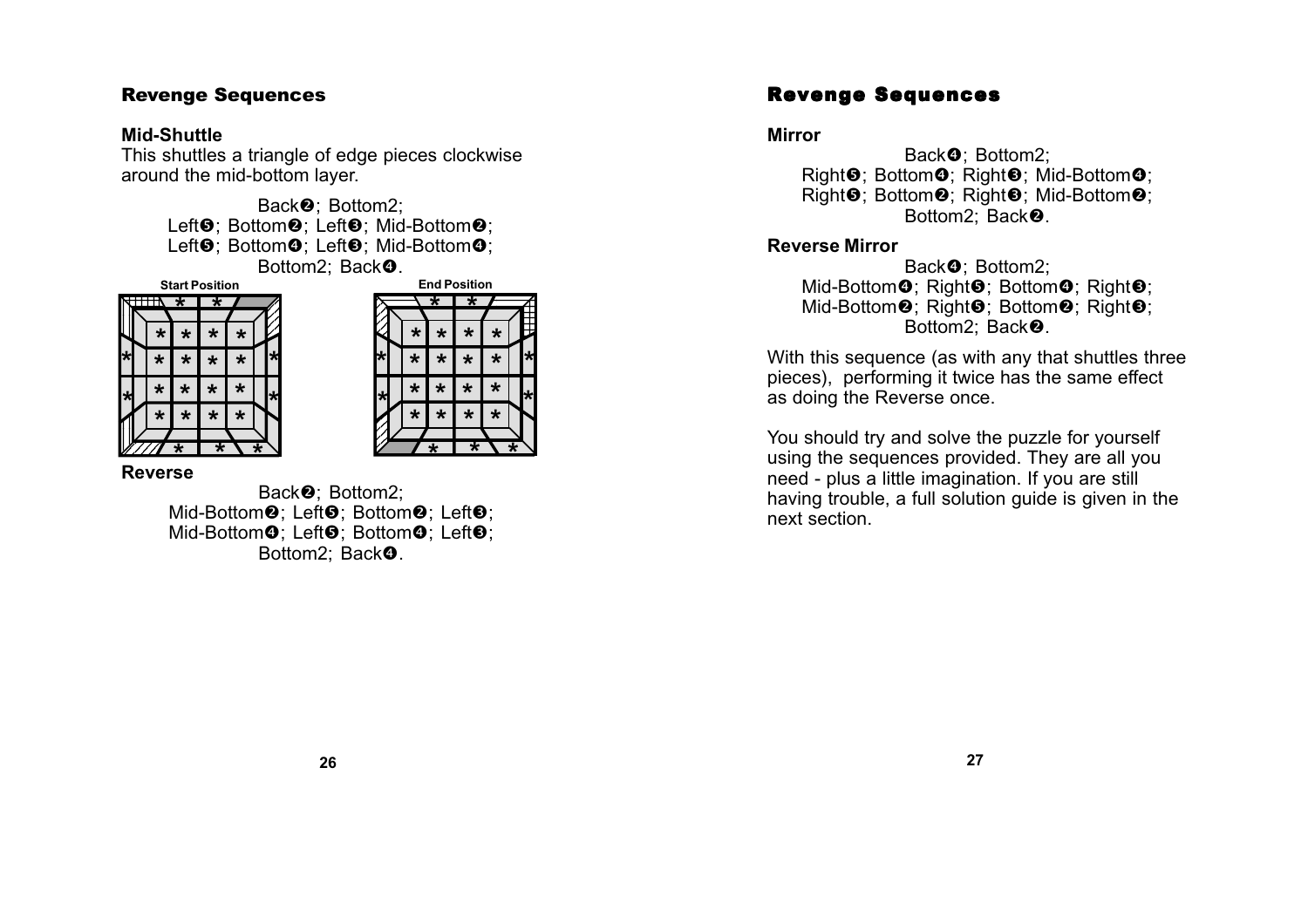## **Mid-Shuttle**

This shuttles a triangle of edge pieces clockwise around the mid-bottom layer.

> Back<sup>2</sup>: Bottom2: Left<sup>®</sup>; Bottom<sup>®</sup>; Left<sup>®</sup>; Mid-Bottom<sup>®</sup>; Left❸; Bottom❹; Left❸; Mid-Bottom❹; Bottom2; Back**☉**.

**Start Position**





### **Reverse**

Back<sup>2</sup>: Bottom2: Mid-Bottom<sup>o</sup>: Left<sup>o</sup>: Bottom<sup>o</sup>: Left<sup>o</sup>: Mid-Bottom**O**; Left**O**; Bottom**O**; Left**O**; Bottom2; Back**の**.

# Revenge Sequences

### **Mirror**

Back**の**; Bottom2; Right❺; Bottom❹; Right❸; Mid-Bottom❹; Right<sup>O</sup>; Bottom<sup>O</sup>; Right<sup>O</sup>; Mid-Bottom<sup>O</sup>; Bottom2: Back<sup>2</sup>.

## **Reverse Mirror**

Back**の**; Bottom2; Mid-Bottom**の**; Right❺; Bottom❹; Right❸; Mid-Bottom<sup>®</sup>; Right<sup>®</sup>; Bottom<sup>®</sup>; Right<sup>®</sup>; Bottom2: Back<sup>2</sup>.

With this sequence (as with any that shuttles three pieces), performing it twice has the same effect as doing the Reverse once.

You should try and solve the puzzle for yourself using the sequences provided. They are all you need - plus a little imagination. If you are still having trouble, a full solution guide is given in the next section.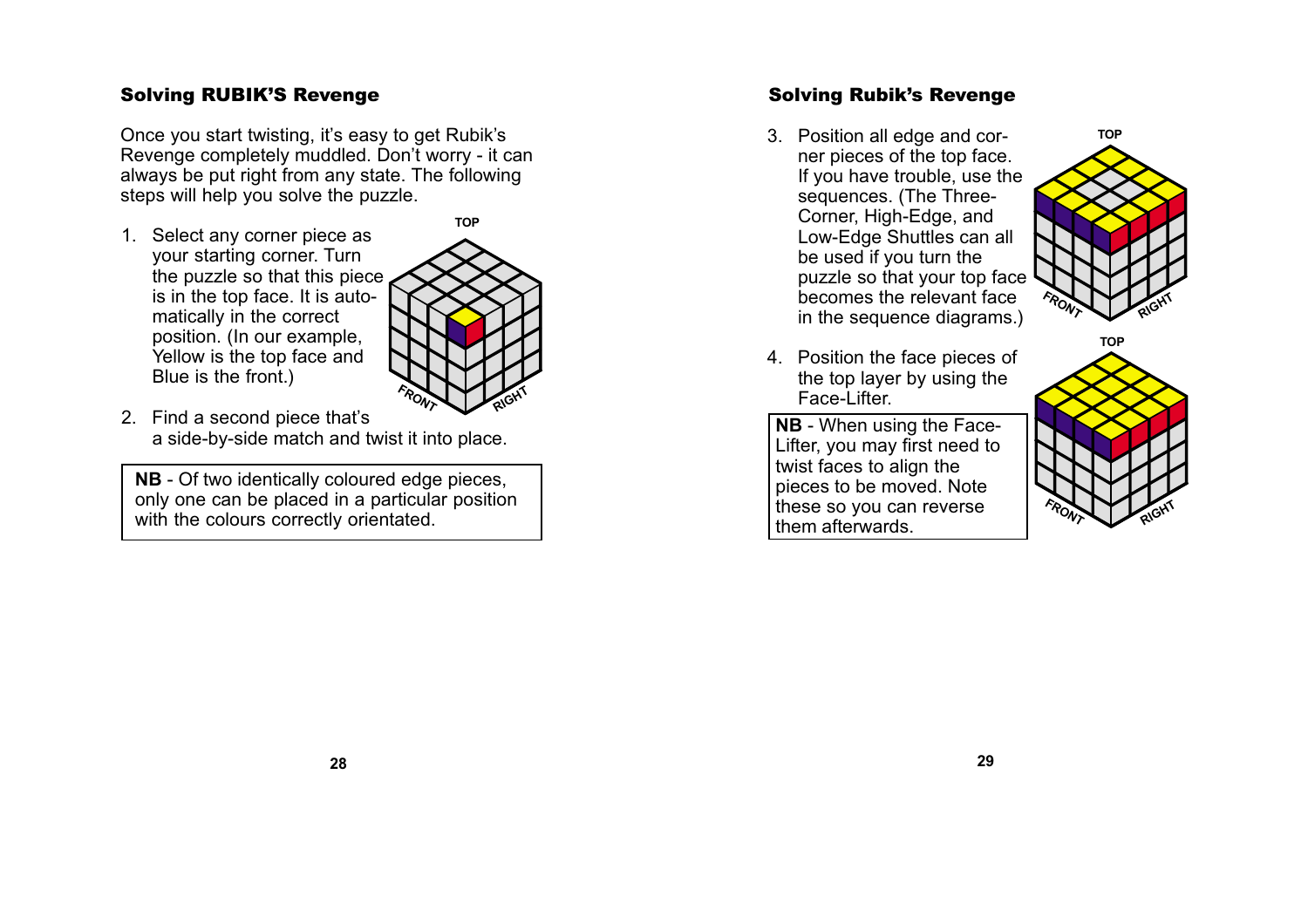# <span id="page-14-0"></span>Solving RUBIK'S Revenge

Once you start twisting, it's easy to get Rubik's Revenge completely muddled. Don't worry - it can always be put right from any state. The following steps will help you solve the puzzle.

1. Select any corner piece as your starting corner. Turn the puzzle so that this piece, is in the top face. It is automatically in the correct position. (In our example, Yellow is the top face and Blue is the front.)



2. Find a second piece that's a side-by-side match and twist it into place.

**NB** - Of two identically coloured edge pieces, only one can be placed in a particular position with the colours correctly orientated.

# Solving Rubik's Revenge

3. Position all edge and corner pieces of the top face. If you have trouble, use the sequences. (The Three-Corner, High-Edge, and Low-Edge Shuttles can all be used if you turn the puzzle so that your top face becomes the relevant face in the sequence diagrams.)



4. Position the face pieces of the top layer by using the Face-Lifter.

**NB** - When using the Face-Lifter, you may first need to twist faces to align the pieces to be moved. Note these so you can reverse them afterwards.

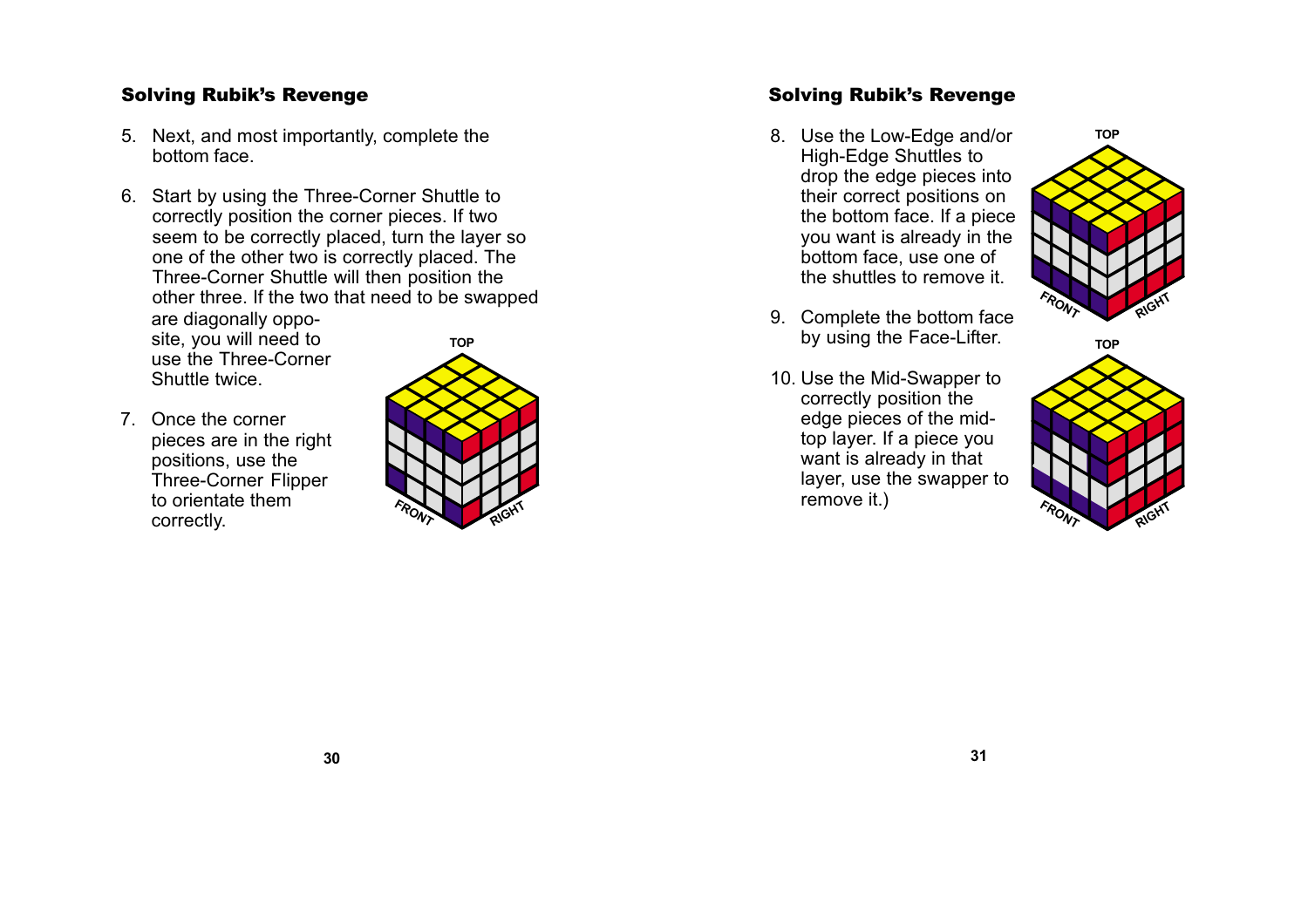# Solving Rubik's Revenge

- 5. Next, and most importantly, complete the bottom face.
- **TOP** 6. Start by using the Three-Corner Shuttle to correctly position the corner pieces. If two seem to be correctly placed, turn the layer so one of the other two is correctly placed. The Three-Corner Shuttle will then position the other three. If the two that need to be swapped are diagonally opposite, you will need to use the Three-Corner Shuttle twice.
- 7. Once the corner pieces are in the right positions, use the Three-Corner Flipper to orientate them correctly.



## Solving Rubik's Revenge

- 8. Use the Low-Edge and/or High-Edge Shuttles to drop the edge pieces into their correct positions on the bottom face. If a piece you want is already in the bottom face, use one of the shuttles to remove it.
- 9. Complete the bottom face by using the Face-Lifter.
- 10. Use the Mid-Swapper to correctly position the edge pieces of the midtop layer. If a piece you want is already in that layer, use the swapper to remove it.)